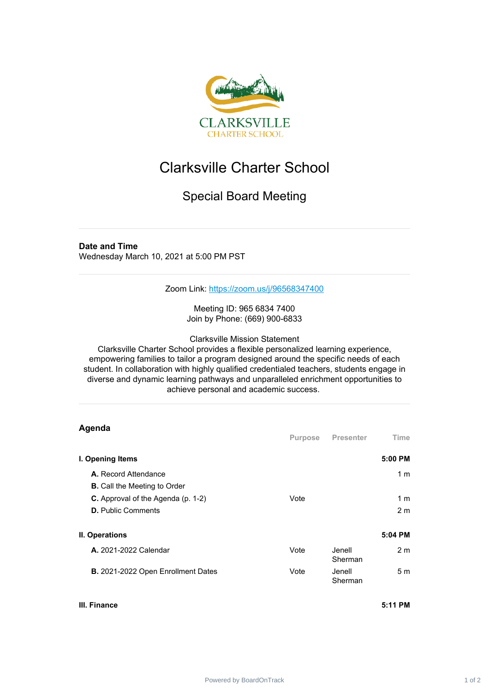

## Clarksville Charter School

## Special Board Meeting

## **Date and Time**

Wednesday March 10, 2021 at 5:00 PM PST

Zoom Link: <https://zoom.us/j/96568347400>

Meeting ID: 965 6834 7400 Join by Phone: (669) 900-6833

Clarksville Mission Statement

Clarksville Charter School provides a flexible personalized learning experience, empowering families to tailor a program designed around the specific needs of each student. In collaboration with highly qualified credentialed teachers, students engage in diverse and dynamic learning pathways and unparalleled enrichment opportunities to achieve personal and academic success.

| Agenda                                                                 | Purpose | <b>Presenter</b>   | Time                  |
|------------------------------------------------------------------------|---------|--------------------|-----------------------|
| I. Opening Items                                                       |         |                    | 5:00 PM               |
| A. Record Attendance<br><b>B.</b> Call the Meeting to Order            |         |                    | 1 <sub>m</sub>        |
| <b>C.</b> Approval of the Agenda (p. 1-2)<br><b>D.</b> Public Comments | Vote    |                    | 1 m<br>2 <sub>m</sub> |
| II. Operations                                                         |         |                    | 5:04 PM               |
| <b>A.</b> 2021-2022 Calendar                                           | Vote    | Jenell.<br>Sherman | 2 <sub>m</sub>        |
| B. 2021-2022 Open Enrollment Dates                                     | Vote    | Jenell<br>Sherman  | 5 <sub>m</sub>        |

## **III. Finance 5:11 PM**